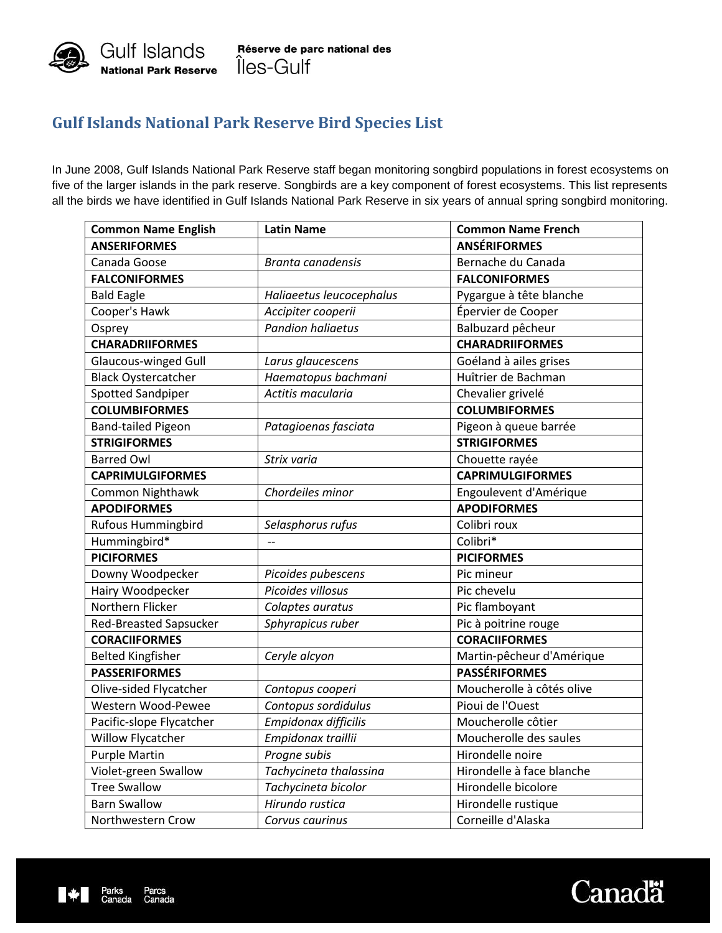

## **Gulf Islands National Park Reserve Bird Species List**

In June 2008, Gulf Islands National Park Reserve staff began monitoring songbird populations in forest ecosystems on five of the larger islands in the park reserve. Songbirds are a key component of forest ecosystems. This list represents all the birds we have identified in Gulf Islands National Park Reserve in six years of annual spring songbird monitoring.

| <b>Common Name English</b>    | <b>Latin Name</b>        | <b>Common Name French</b> |
|-------------------------------|--------------------------|---------------------------|
| <b>ANSERIFORMES</b>           |                          | <b>ANSÉRIFORMES</b>       |
| Canada Goose                  | Branta canadensis        | Bernache du Canada        |
| <b>FALCONIFORMES</b>          |                          | <b>FALCONIFORMES</b>      |
| <b>Bald Eagle</b>             | Haliaeetus leucocephalus | Pygargue à tête blanche   |
| Cooper's Hawk                 | Accipiter cooperii       | Épervier de Cooper        |
| Osprey                        | <b>Pandion haliaetus</b> | Balbuzard pêcheur         |
| <b>CHARADRIIFORMES</b>        |                          | <b>CHARADRIIFORMES</b>    |
| Glaucous-winged Gull          | Larus glaucescens        | Goéland à ailes grises    |
| <b>Black Oystercatcher</b>    | Haematopus bachmani      | Huîtrier de Bachman       |
| <b>Spotted Sandpiper</b>      | Actitis macularia        | Chevalier grivelé         |
| <b>COLUMBIFORMES</b>          |                          | <b>COLUMBIFORMES</b>      |
| <b>Band-tailed Pigeon</b>     | Patagioenas fasciata     | Pigeon à queue barrée     |
| <b>STRIGIFORMES</b>           |                          | <b>STRIGIFORMES</b>       |
| <b>Barred Owl</b>             | Strix varia              | Chouette rayée            |
| <b>CAPRIMULGIFORMES</b>       |                          | <b>CAPRIMULGIFORMES</b>   |
| Common Nighthawk              | Chordeiles minor         | Engoulevent d'Amérique    |
| <b>APODIFORMES</b>            |                          | <b>APODIFORMES</b>        |
| <b>Rufous Hummingbird</b>     | Selasphorus rufus        | Colibri roux              |
| Hummingbird*                  | $\overline{\phantom{m}}$ | Colibri*                  |
| <b>PICIFORMES</b>             |                          | <b>PICIFORMES</b>         |
| Downy Woodpecker              | Picoides pubescens       | Pic mineur                |
| Hairy Woodpecker              | Picoides villosus        | Pic chevelu               |
| Northern Flicker              | Colaptes auratus         | Pic flamboyant            |
| <b>Red-Breasted Sapsucker</b> | Sphyrapicus ruber        | Pic à poitrine rouge      |
| <b>CORACIIFORMES</b>          |                          | <b>CORACIIFORMES</b>      |
| <b>Belted Kingfisher</b>      | Ceryle alcyon            | Martin-pêcheur d'Amérique |
| <b>PASSERIFORMES</b>          |                          | <b>PASSÉRIFORMES</b>      |
| Olive-sided Flycatcher        | Contopus cooperi         | Moucherolle à côtés olive |
| Western Wood-Pewee            | Contopus sordidulus      | Pioui de l'Ouest          |
| Pacific-slope Flycatcher      | Empidonax difficilis     | Moucherolle côtier        |
| Willow Flycatcher             | Empidonax traillii       | Moucherolle des saules    |
| <b>Purple Martin</b>          | Progne subis             | Hirondelle noire          |
| Violet-green Swallow          | Tachycineta thalassina   | Hirondelle à face blanche |
| <b>Tree Swallow</b>           | Tachycineta bicolor      | Hirondelle bicolore       |
| <b>Barn Swallow</b>           | Hirundo rustica          | Hirondelle rustique       |
| Northwestern Crow             | Corvus caurinus          | Corneille d'Alaska        |